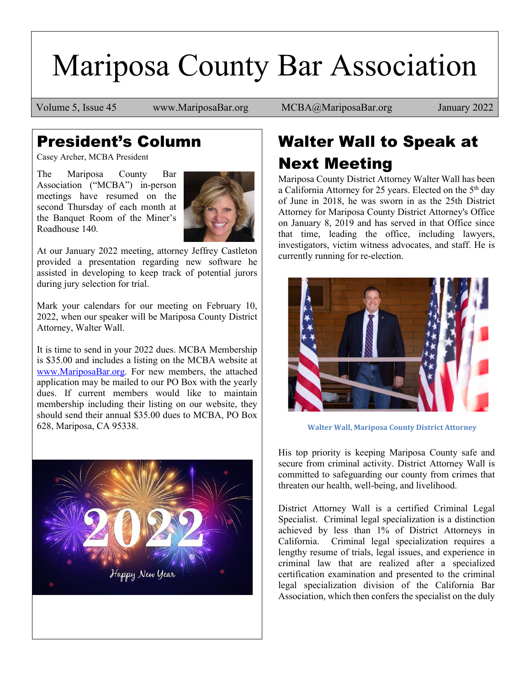# Mariposa County Bar Association

Volume 5, Issue 45 www.MariposaBar.org MCBA@MariposaBar.org January 2022

### President's Column

Casey Archer, MCBA President

The Mariposa County Bar Association ("MCBA") in-person meetings have resumed on the second Thursday of each month at the Banquet Room of the Miner's Roadhouse 140.



At our January 2022 meeting, attorney Jeffrey Castleton provided a presentation regarding new software he assisted in developing to keep track of potential jurors during jury selection for trial.

Mark your calendars for our meeting on February 10, 2022, when our speaker will be Mariposa County District Attorney, Walter Wall.

It is time to send in your 2022 dues. MCBA Membership is \$35.00 and includes a listing on the MCBA website at [www.MariposaBar.org.](http://www.mariposabar.org/) For new members, the attached application may be mailed to our PO Box with the yearly dues. If current members would like to maintain membership including their listing on our website, they should send their annual \$35.00 dues to MCBA, PO Box 628, Mariposa, CA 95338.



# Walter Wall to Speak at Next Meeting

Mariposa County District Attorney Walter Wall has been a California Attorney for 25 years. Elected on the 5<sup>th</sup> day of June in 2018, he was sworn in as the 25th District Attorney for Mariposa County District Attorney's Office on January 8, 2019 and has served in that Office since that time, leading the office, including lawyers, investigators, victim witness advocates, and staff. He is currently running for re-election.



**Walter Wall, Mariposa County District Attorney**

His top priority is keeping Mariposa County safe and secure from criminal activity. District Attorney Wall is committed to safeguarding our county from crimes that threaten our health, well-being, and livelihood.

District Attorney Wall is a certified Criminal Legal Specialist. Criminal legal specialization is a distinction achieved by less than 1% of District Attorneys in California. Criminal legal specialization requires a lengthy resume of trials, legal issues, and experience in criminal law that are realized after a specialized certification examination and presented to the criminal legal specialization division of the California Bar Association, which then confers the specialist on the duly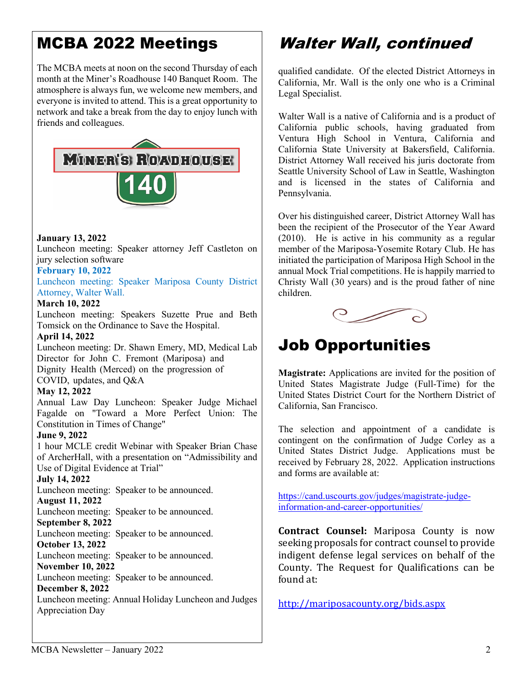## MCBA 2022 Meetings

The MCBA meets at noon on the second Thursday of each month at the Miner's Roadhouse 140 Banquet Room. The atmosphere is always fun, we welcome new members, and everyone is invited to attend. This is a great opportunity to network and take a break from the day to enjoy lunch with friends and colleagues.



#### **January 13, 2022**

Luncheon meeting: Speaker attorney Jeff Castleton on jury selection software

#### **February 10, 2022**

Luncheon meeting: Speaker Mariposa County District Attorney, Walter Wall.

#### **March 10, 2022**

Luncheon meeting: Speakers Suzette Prue and Beth Tomsick on the Ordinance to Save the Hospital.

#### **April 14, 2022**

Luncheon meeting: Dr. Shawn Emery, MD, Medical Lab Director for John C. Fremont (Mariposa) and Dignity Health (Merced) on the progression of COVID, updates, and Q&A

#### **May 12, 2022**

Annual Law Day Luncheon: Speaker Judge Michael Fagalde on "Toward a More Perfect Union: The Constitution in Times of Change"

#### **June 9, 2022**

1 hour MCLE credit Webinar with Speaker Brian Chase of ArcherHall, with a presentation on "Admissibility and Use of Digital Evidence at Trial"

#### **July 14, 2022**

Luncheon meeting: Speaker to be announced.

#### **August 11, 2022**

Luncheon meeting: Speaker to be announced.

#### **September 8, 2022**

Luncheon meeting: Speaker to be announced. **October 13, 2022** 

Luncheon meeting: Speaker to be announced.

#### **November 10, 2022**

Luncheon meeting: Speaker to be announced.

#### **December 8, 2022**

Luncheon meeting: Annual Holiday Luncheon and Judges Appreciation Day

### Walter Wall, continued

qualified candidate. Of the elected District Attorneys in California, Mr. Wall is the only one who is a Criminal Legal Specialist.

Walter Wall is a native of California and is a product of California public schools, having graduated from Ventura High School in Ventura, California and California State University at Bakersfield, California. District Attorney Wall received his juris doctorate from Seattle University School of Law in Seattle, Washington and is licensed in the states of California and Pennsylvania.

Over his distinguished career, District Attorney Wall has been the recipient of the Prosecutor of the Year Award (2010). He is active in his community as a regular member of the Mariposa-Yosemite Rotary Club. He has initiated the participation of Mariposa High School in the annual Mock Trial competitions. He is happily married to Christy Wall (30 years) and is the proud father of nine children.



### Job Opportunities

**Magistrate:** Applications are invited for the position of United States Magistrate Judge (Full-Time) for the United States District Court for the Northern District of California, San Francisco.

The selection and appointment of a candidate is contingent on the confirmation of Judge Corley as a United States District Judge. Applications must be received by February 28, 2022. Application instructions and forms are available at:

[https://cand.uscourts.gov/judges/magistrate-judge](https://cand.uscourts.gov/judges/magistrate-judge-information-and-career-opportunities/)[information-and-career-opportunities/](https://cand.uscourts.gov/judges/magistrate-judge-information-and-career-opportunities/)

**Contract Counsel:** Mariposa County is now seeking proposals for contract counsel to provide indigent defense legal services on behalf of the County. The Request for Qualifications can be found at:

<http://mariposacounty.org/bids.aspx>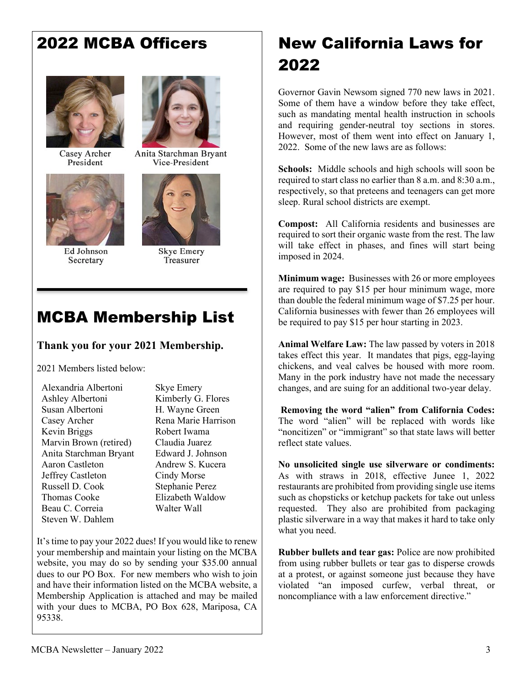### 2022 MCBA Officers



Casey Archer President



Ed Johnson Secretary



Anita Starchman Bryant Vice-President



**Skye Emery** Treasurer

### MCBA Membership List

#### **Thank you for your 2021 Membership.**

2021 Members listed below:

Alexandria Albertoni Ashley Albertoni Susan Albertoni Casey Archer Kevin Briggs Marvin Brown (retired) Anita Starchman Bryant Aaron Castleton Jeffrey Castleton Russell D. Cook Thomas Cooke Beau C. Correia Steven W. Dahlem

Skye Emery Kimberly G. Flores H. Wayne Green Rena Marie Harrison Robert Iwama Claudia Juarez Edward J. Johnson Andrew S. Kucera Cindy Morse Stephanie Perez Elizabeth Waldow Walter Wall

It's time to pay your 2022 dues! If you would like to renew your membership and maintain your listing on the MCBA website, you may do so by sending your \$35.00 annual dues to our PO Box. For new members who wish to join and have their information listed on the MCBA website, a Membership Application is attached and may be mailed with your dues to MCBA, PO Box 628, Mariposa, CA 95338.

## New California Laws for 2022

Governor Gavin Newsom signed 770 new laws in 2021. Some of them have a window before they take effect, such as mandating mental health instruction in schools and requiring gender-neutral toy sections in stores. However, most of them went into effect on January 1, 2022. Some of the new laws are as follows:

**Schools:** Middle schools and high schools will soon be required to start class no earlier than 8 a.m. and 8:30 a.m., respectively, so that preteens and teenagers can get more sleep. Rural school districts are exempt.

**Compost:** All California residents and businesses are required to sort their organic waste from the rest. The law will take effect in phases, and fines will start being imposed in 2024.

**Minimum wage:** Businesses with 26 or more employees are required to pay \$15 per hour minimum wage, more than double the federal minimum wage of \$7.25 per hour. California businesses with fewer than 26 employees will be required to pay \$15 per hour starting in 2023.

**Animal Welfare Law:** The law passed by voters in 2018 takes effect this year. It mandates that pigs, egg-laying chickens, and veal calves be housed with more room. Many in the pork industry have not made the necessary changes, and are suing for an additional two-year delay.

**Removing the word "alien" from California Codes:**  The word "alien" will be replaced with words like "noncitizen" or "immigrant" so that state laws will better reflect state values.

**No unsolicited single use silverware or condiments:**  As with straws in 2018, effective Junee 1, 2022 restaurants are prohibited from providing single use items such as chopsticks or ketchup packets for take out unless requested. They also are prohibited from packaging plastic silverware in a way that makes it hard to take only what you need.

**Rubber bullets and tear gas:** Police are now prohibited from using rubber bullets or tear gas to disperse crowds at a protest, or against someone just because they have violated "an imposed curfew, verbal threat, or noncompliance with a law enforcement directive."